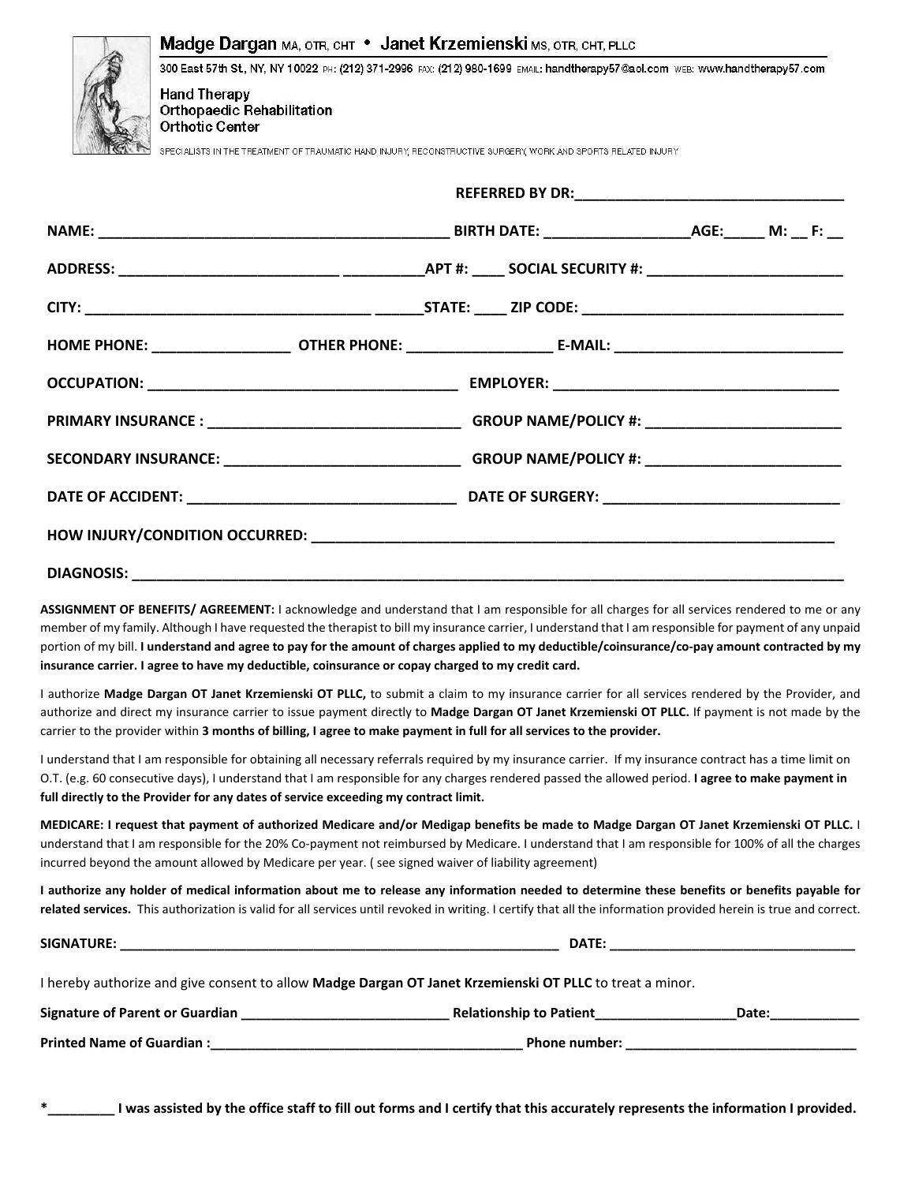| <b>Hand Therapy</b><br><b>Orthopaedic Rehabilitation</b><br><b>Orthotic Center</b> | Madge Dargan MA, OTR, CHT • Janet Krzemienski MS, OTR, CHT, PLLC<br>300 East 57th St, NY, NY 10022 PH: (212) 371-2996 FAX: (212) 980-1699 EMAIL: handtherapy57@aol.com wEB: www.handtherapy57.com<br>SPECIALISTS IN THE TREATMENT OF TRAUMATIC HAND INJURY, RECONSTRUCTIVE SURGERY, WORK AND SPORTS RELATED INJURY |  |  |
|------------------------------------------------------------------------------------|--------------------------------------------------------------------------------------------------------------------------------------------------------------------------------------------------------------------------------------------------------------------------------------------------------------------|--|--|
|                                                                                    |                                                                                                                                                                                                                                                                                                                    |  |  |
|                                                                                    |                                                                                                                                                                                                                                                                                                                    |  |  |
|                                                                                    |                                                                                                                                                                                                                                                                                                                    |  |  |
|                                                                                    |                                                                                                                                                                                                                                                                                                                    |  |  |
|                                                                                    |                                                                                                                                                                                                                                                                                                                    |  |  |
|                                                                                    |                                                                                                                                                                                                                                                                                                                    |  |  |
|                                                                                    |                                                                                                                                                                                                                                                                                                                    |  |  |
|                                                                                    |                                                                                                                                                                                                                                                                                                                    |  |  |
|                                                                                    |                                                                                                                                                                                                                                                                                                                    |  |  |
|                                                                                    |                                                                                                                                                                                                                                                                                                                    |  |  |
|                                                                                    |                                                                                                                                                                                                                                                                                                                    |  |  |

ASSIGNMENT OF BENEFITS/ AGREEMENT: I acknowledge and understand that I am responsible for all charges for all services rendered to me or any member of my family. Although I have requested the therapist to bill my insurance carrier, I understand that I am responsible for payment of any unpaid portion of my bill. I understand and agree to pay for the amount of charges applied to my deductible/coinsurance/co-pay amount contracted by my insurance carrier. I agree to have my deductible, coinsurance or copay charged to my credit card.

I authorize Madge Dargan OT Janet Krzemienski OT PLLC, to submit a claim to my insurance carrier for all services rendered by the Provider, and authorize and direct my insurance carrier to issue payment directly to Madge Dargan OT Janet Krzemienski OT PLLC. If payment is not made by the carrier to the provider within 3 months of billing, I agree to make payment in full for all services to the provider.

I understand that I am responsible for obtaining all necessary referrals required by my insurance carrier. If my insurance contract has a time limit on O.T. (e.g. 60 consecutive days), I understand that I am responsible for any charges rendered passed the allowed period. I agree to make payment in full directly to the Provider for any dates of service exceeding my contract limit.

MEDICARE: I request that payment of authorized Medicare and/or Medigap benefits be made to Madge Dargan OT Janet Krzemienski OT PLLC. I understand that I am responsible for the 20% Co‐payment not reimbursed by Medicare. I understand that I am responsible for 100% of all the charges incurred beyond the amount allowed by Medicare per year. ( see signed waiver of liability agreement)

I authorize any holder of medical information about me to release any information needed to determine these benefits or benefits payable for related services. This authorization is valid for all services until revoked in writing. I certify that all the information provided herein is true and correct.

| SIGNATURE:                                                                                                      | <b>DATE:</b>                                                                                                                                                                                                                  |       |  |  |  |  |  |
|-----------------------------------------------------------------------------------------------------------------|-------------------------------------------------------------------------------------------------------------------------------------------------------------------------------------------------------------------------------|-------|--|--|--|--|--|
| I hereby authorize and give consent to allow <b>Madge Dargan OT Janet Krzemienski OT PLLC</b> to treat a minor. |                                                                                                                                                                                                                               |       |  |  |  |  |  |
| Signature of Parent or Guardian                                                                                 | Relationship to Patient                                                                                                                                                                                                       | Date: |  |  |  |  |  |
| Printed Name of Guardian : Name of Superior Services and Superior Services and Superior Services and Superior S | Phone number: the contract of the contract of the contract of the contract of the contract of the contract of the contract of the contract of the contract of the contract of the contract of the contract of the contract of |       |  |  |  |  |  |

I was assisted by the office staff to fill out forms and I certify that this accurately represents the information I provided.